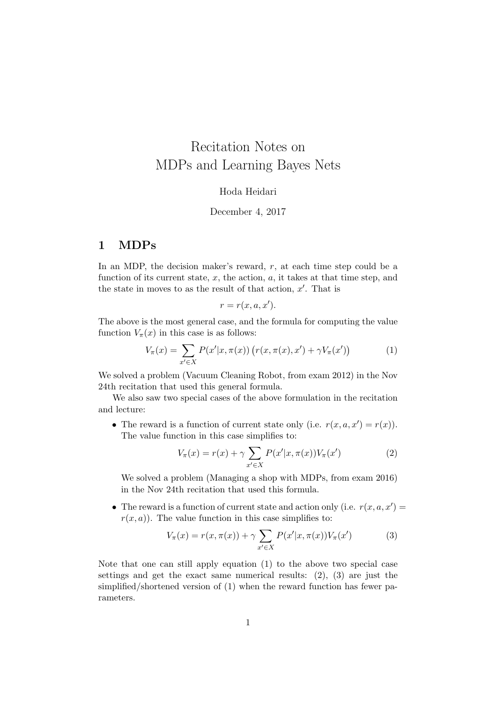# Recitation Notes on MDPs and Learning Bayes Nets

### Hoda Heidari

#### December 4, 2017

## 1 MDPs

In an MDP, the decision maker's reward,  $r$ , at each time step could be a function of its current state,  $x$ , the action,  $a$ , it takes at that time step, and the state in moves to as the result of that action,  $x'$ . That is

$$
r = r(x, a, x').
$$

The above is the most general case, and the formula for computing the value function  $V_\pi(x)$  in this case is as follows:

$$
V_{\pi}(x) = \sum_{x' \in X} P(x'|x, \pi(x)) (r(x, \pi(x), x') + \gamma V_{\pi}(x')) \tag{1}
$$

We solved a problem (Vacuum Cleaning Robot, from exam 2012) in the Nov 24th recitation that used this general formula.

We also saw two special cases of the above formulation in the recitation and lecture:

• The reward is a function of current state only (i.e.  $r(x, a, x') = r(x)$ ). The value function in this case simplifies to:

$$
V_{\pi}(x) = r(x) + \gamma \sum_{x' \in X} P(x'|x, \pi(x)) V_{\pi}(x')
$$
 (2)

We solved a problem (Managing a shop with MDPs, from exam 2016) in the Nov 24th recitation that used this formula.

• The reward is a function of current state and action only (i.e.  $r(x, a, x') =$  $r(x, a)$ . The value function in this case simplifies to:

$$
V_{\pi}(x) = r(x, \pi(x)) + \gamma \sum_{x' \in X} P(x'|x, \pi(x)) V_{\pi}(x')
$$
 (3)

Note that one can still apply equation (1) to the above two special case settings and get the exact same numerical results: (2), (3) are just the simplified/shortened version of (1) when the reward function has fewer parameters.